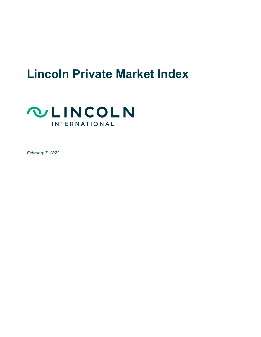# **Lincoln Private Market Index**



*February 7, 2022*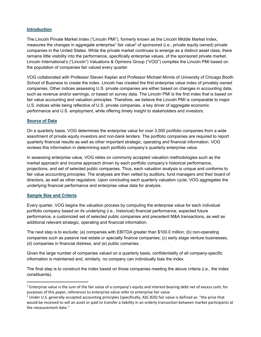# **Introduction**

The Lincoln Private Market Index ("Lincoln PMI"), formerly known as the Lincoln Middle Market Index, measures the changes in aggregate enterprise<sup>1</sup> fair value<sup>2</sup> of sponsored (i.e., private equity owned) private companies in the United States. While the private market continues to emerge as a distinct asset class, there remains little visibility into the performance, specifically enterprise values, of the sponsored private market. Lincoln International's ("Lincoln") Valuations & Opinions Group ("VOG") compiles the Lincoln PMI based on the population of companies fair valued every quarter.

VOG collaborated with Professor Steven Kaplan and Professor Michael Minnis of University of Chicago Booth School of Business to create the index. Lincoln has created the first enterprise value index of privately owned companies. Other indices assessing U.S. private companies are either based on changes in accounting data, such as revenue and/or earnings, or based on survey data. The Lincoln PMI is the first index that is based on fair value accounting and valuation principles. Therefore, we believe the Lincoln PMI is comparable to major U.S. indices while being reflective of U.S. private companies, a key driver of aggregate economic performance and U.S. employment, while offering timely insight to stakeholders and investors.

### **Source of Data**

On a quarterly basis, VOG determines the enterprise value for over 3,000 portfolio companies from a wide assortment of private equity investors and non-bank lenders. The portfolio companies are required to report quarterly financial results as well as other important strategic, operating and financial information. VOG reviews this information in determining each portfolio company's quarterly enterprise value.

In assessing enterprise value, VOG relies on commonly accepted valuation methodologies such as the market approach and income approach driven by each portfolio company's historical performance, projections, and set of selected public companies. Thus, each valuation analysis is unique and conforms to fair value accounting principles. The analyses are then vetted by auditors, fund managers and their board of directors, as well as other regulators. Upon concluding each quarterly valuation cycle, VOG aggregates the underlying financial performance and enterprise value data for analysis.

### **Sample Size and Criteria**

Every quarter, VOG begins the valuation process by computing the enterprise value for each individual portfolio company based on its underlying (i.e., historical) financial performance, expected future performance, a customized set of selected public companies and precedent M&A transactions, as well as additional relevant strategic, operating and financial information.

The next step is to exclude: (a) companies with EBITDA greater than \$100.0 million; (b) non-operating companies such as passive real estate or specialty finance companies; (c) early stage venture businesses, (d) companies in financial distress, and (e) public comanies.

Given the large number of companies valued on a quarterly basis, confidentiality of all company-specific information is maintained and, similarly, no company can individually bias the index.

The final step is to construct the index based on those companies meeting the above criteria (i.e., the index constituents).

 $<sup>1</sup>$  Enterprise value is the sum of the fair value of a company's equity and interest-bearing debt net of excess cash; for</sup> purposes of this paper, references to enterprise value refer to enterprise fair value

<sup>&</sup>lt;sup>2</sup> Under U.S. generally accepted accounting principles (specifically, ASC 820) fair value is defined as: "the price that would be received to sell an asset or paid to transfer a liability in an orderly transaction between market participants at the measurement date."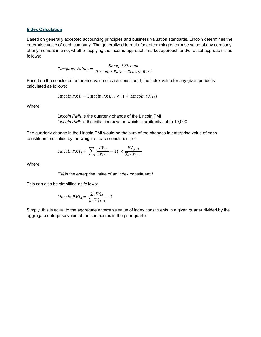#### **Index Calculation**

Based on generally accepted accounting principles and business valuation standards, Lincoln determines the enterprise value of each company. The generalized formula for determining enterprise value of any company at any moment in time, whether applying the income approach, market approach and/or asset approach is as follows:

$$
Company\ Value_t = \frac{Benefit\ Stream}{Discount\ Rate - Growth\ Rate}
$$

Based on the concluded enterprise value of each constituent, the index value for any given period is calculated as follows:

$$
Lincoh PMI_t = Lincoln PMI_{t-1} \times (1 + Lincoln PMI_A)
$$

Where:

*Lincoln PMIΔ* is the quarterly change of the Lincoln PMI *Lincoln PMI0* is the initial index value which is arbitrarily set to 10,000

The quarterly change in the Lincoln PMI would be the sum of the changes in enterprise value of each constituent multiplied by the weight of each constituent, or:

$$
Lincoh\,PMI_{\Delta} = \sum_{i} \left( \frac{EV_{i,t}}{EV_{i,t-1}} - 1 \right) \times \frac{EV_{i,t-1}}{\sum_{i} EV_{i,t-1}}
$$

Where:

*EVi* is the enterprise value of an index constituent *i*

This can also be simplified as follows:

$$
Lincoh~PMI_{\Delta} = \frac{\sum_{i} EV_{i,t}}{\sum_{i} EV_{i,t-1}} - 1
$$

Simply, this is equal to the aggregate enterprise value of index constituents in a given quarter divided by the aggregate enterprise value of the companies in the prior quarter.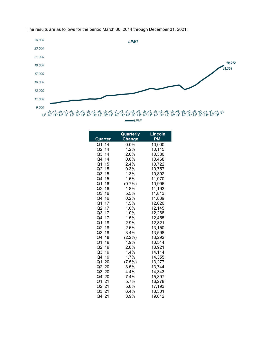

The results are as follows for the period March 30, 2014 through December 31, 2021:

| Quarter | Quarterly<br><b>Change</b> | <b>Lincoln</b><br><b>PMI</b> |
|---------|----------------------------|------------------------------|
| Q1 '14  | $0.0\%$                    | 10,000                       |
| Q2 '14  | 1.2%                       | 10,115                       |
| Q3 '14  | 2.6%                       | 10,380                       |
| Q4 '14  | 0.8%                       | 10,468                       |
| Q1 '15  | 2.4%                       | 10,722                       |
| Q2 '15  | 0.3%                       | 10,757                       |
| Q3 '15  | 1.3%                       | 10,892                       |
| Q4 '15  | 1.6%                       | 11,070                       |
| Q1'16   | (0.7%                      | 10,996                       |
| Q2 '16  | 1.8%                       | 11,193                       |
| Q3 '16  | 5.5%                       | 11,813                       |
| Q4 '16  | 0.2%                       | 11,839                       |
| Q1 '17  | 1.5%                       | 12,020                       |
| Q2 '17  | 1.0%                       | 12,145                       |
| Q3 '17  | 1.0%                       | 12,268                       |
| Q4 '17  | 1.5%                       | 12,455                       |
| Q1 '18  | 2.9%                       | 12,821                       |
| Q2 '18  | 2.6%                       | 13,150                       |
| Q3 '18  | 3.4%                       | 13,598                       |
| Q4 '18  | $(2.2\%)$                  | 13,292                       |
| Q1 '19  | 1.9%                       | 13,544                       |
| Q2 '19  | 2.8%                       | 13,921                       |
| Q3 '19  | 1.4%                       | 14,114                       |
| Q4 '19  | 1.7%                       | 14,355                       |
| Q1 '20  | $(7.5\%)$                  | 13,277                       |
| Q2 '20  | 3.5%                       | 13,744                       |
| Q3 '20  | 4.4%                       | 14,343                       |
| Q4 '20  | 7.4%                       | 15,397                       |
| Q1 '21  | 5.7%                       | 16,278                       |
| Q2 '21  | 5.6%                       | 17,193                       |
| Q3 '21  | 6.4%                       | 18,301                       |
| Q4 '21  | 3.9%                       | 19,012                       |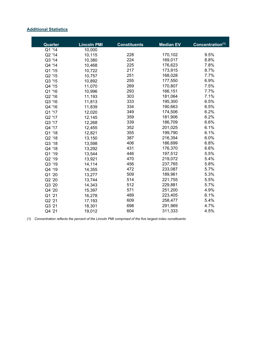### **Additional Statistics**

| Quarter | <b>Lincoln PMI</b> | <b>Constituents</b> | <b>Median EV</b> | Concentration(1) |
|---------|--------------------|---------------------|------------------|------------------|
| Q1 '14  | 10,000             |                     |                  |                  |
| Q2 '14  | 10,115             | 228                 | 170,102          | 9.5%             |
| Q3 '14  | 10,380             | 224                 | 169,017          | 8.8%             |
| Q4 '14  | 10,468             | 225                 | 176,623          | 7.8%             |
| Q1'15   | 10,722             | 217                 | 173,915          | 8.7%             |
| Q2 '15  | 10,757             | 251                 | 168,028          | 7.7%             |
| Q3 '15  | 10,892             | 255                 | 177,550          | 6.9%             |
| Q4 '15  | 11,070             | 269                 | 170,807          | 7.5%             |
| Q1 '16  | 10,996             | 293                 | 166,151          | 7.7%             |
| Q2 '16  | 11,193             | 303                 | 181,064          | 7.1%             |
| Q3 '16  | 11,813             | 333                 | 195,300          | 6.5%             |
| Q4 '16  | 11,839             | 334                 | 190,663          | 6.5%             |
| Q1 '17  | 12,020             | 349                 | 174,506          | 6.2%             |
| Q2 '17  | 12,145             | 359                 | 181,906          | 6.2%             |
| Q3 '17  | 12,268             | 339                 | 186,709          | 6.6%             |
| Q4 '17  | 12,455             | 352                 | 201,025          | 6.1%             |
| Q1 '18  | 12,821             | 355                 | 199,790          | 6.1%             |
| Q2 '18  | 13,150             | 387                 | 216,354          | 6.0%             |
| Q3 '18  | 13,598             | 406                 | 186,699          | 6.8%             |
| Q4 '18  | 13,292             | 431                 | 176,370          | 6.6%             |
| Q1 '19  | 13,544             | 446                 | 197,512          | 5.5%             |
| Q2 '19  | 13,921             | 470                 | 219,072          | 5.4%             |
| Q3 '19  | 14,114             | 456                 | 237,765          | 5.8%             |
| Q4 '19  | 14,355             | 472                 | 233,087          | 5.7%             |
| Q1 '20  | 13,277             | 509                 | 189,961          | 5.3%             |
| Q2 '20  | 13,744             | 514                 | 221,755          | 5.5%             |
| Q3 '20  | 14,343             | 512                 | 229,881          | 5.7%             |
| Q4 '20  | 15,397             | 571                 | 251,200          | 4.9%             |
| Q1 '21  | 16,278             | 489                 | 223,405          | 6.1%             |
| Q2 '21  | 17,193             | 609                 | 258,477          | 5.4%             |
| Q3 '21  | 18,301             | 698                 | 291,969          | 4.7%             |
| Q4 '21  | 19,012             | 604                 | 311,333          | 4.5%             |

*(1) Concentration reflects the percent of the Lincoln PMI comprised of the five largest index constituents*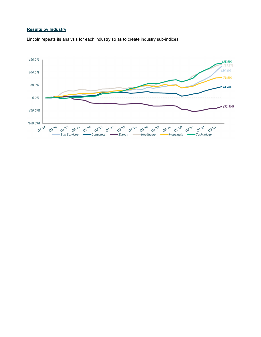# **Results by Industry**

Lincoln repeats its analysis for each industry so as to create industry sub-indices.

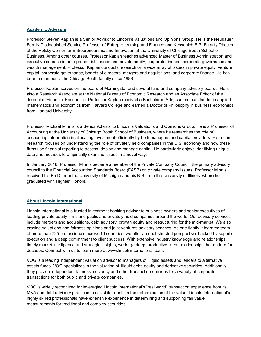### **Academic Advisors**

Professor Steven Kaplan is a Senior Advisor to Lincoln's Valuations and Opinions Group. He is the Neubauer Family Distinguished Service Professor of Entrepreneurship and Finance and Kessenich E.P. Faculty Director at the Polsky Center for Entrepreneurship and Innovation at the University of Chicago Booth School of Business. Among other courses, Professor Kaplan teaches advanced Master of Business Administration and executive courses in entrepreneurial finance and private equity, corporate finance, corporate governance and wealth management. Professor Kaplan conducts research on a wide array of issues in private equity, venture capital, corporate governance, boards of directors, mergers and acquisitions, and corporate finance. He has been a member of the Chicago Booth faculty since 1988.

Professor Kaplan serves on the board of Morningstar and several fund and company advisory boards. He is also a Research Associate at the National Bureau of Economic Research and an Associate Editor of the Journal of Financial Economics. Professor Kaplan received a Bachelor of Arts, summa cum laude, in applied mathematics and economics from Harvard College and earned a Doctor of Philosophy in business economics from Harvard University.

Professor Michael Minnis is a Senior Advisor to Lincoln's Valuations and Opinions Group. He is a Professor of Accounting at the University of Chicago Booth School of Business, where he researches the role of accounting information in allocating investment efficiently by both managers and capital providers. His recent research focuses on understanding the role of privately held companies in the U.S. economy and how these firms use financial reporting to access, deploy and manage capital. He particularly enjoys identifying unique data and methods to empirically examine issues in a novel way.

In January 2018, Professor Minnis became a member of the Private Company Council, the primary advisory council to the Financial Accounting Standards Board (FASB) on private company issues. Professor Minnis received his Ph.D. from the University of Michigan and his B.S. from the University of Illinois, where he graduated with Highest Honors.

### **About Lincoln International**

Lincoln International is a trusted investment banking advisor to business owners and senior executives of leading private equity firms and public and privately held companies around the world. Our advisory services include mergers and acquisitions, debt advisory, growth equity and restructuring for the mid-market. We also provide valuations and fairness opinions and joint ventures advisory services. As one tightly integrated team of more than 725 professionals across 16 countries, we offer an unobstructed perspective, backed by superb execution and a deep commitment to client success. With extensive industry knowledge and relationships, timely market intelligence and strategic insights, we forge deep, productive client relationships that endure for decades. Connect with us to learn more at www.lincolninternational.com.

VOG is a leading independent valuation advisor to managers of illiquid assets and lenders to alternative assets funds. VOG specializes in the valuation of illiquid debt, equity and derivative securities. Additionally, they provide independent fairness, solvency and other transaction opinions for a variety of corporate transactions for both public and private companies.

VOG is widely recognized for leveraging Lincoln International's "real world" transaction experience from its M&A and debt advisory practices to assist its clients in the determination of fair value. Lincoln International's highly skilled professionals have extensive experience in determining and supporting fair value measurements for traditional and complex securities.